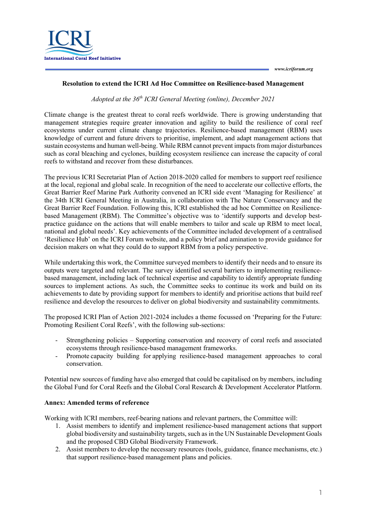

## **Resolution to extend the ICRI Ad Hoc Committee on Resilience-based Management**

*Adopted at the 36th ICRI General Meeting (online), December 2021*

Climate change is the greatest threat to coral reefs worldwide. There is growing understanding that management strategies require greater innovation and agility to build the resilience of coral reef ecosystems under current climate change trajectories. Resilience-based management (RBM) uses knowledge of current and future drivers to prioritise, implement, and adapt management actions that sustain ecosystems and human well-being. While RBM cannot prevent impacts from major disturbances such as coral bleaching and cyclones, building ecosystem resilience can increase the capacity of coral reefs to withstand and recover from these disturbances.

The previous ICRI Secretariat Plan of Action 2018-2020 called for members to support reef resilience at the local, regional and global scale. In recognition of the need to accelerate our collective efforts, the Great Barrier Reef Marine Park Authority convened an ICRI side event 'Managing for Resilience' at the 34th ICRI General Meeting in Australia, in collaboration with The Nature Conservancy and the Great Barrier Reef Foundation. Following this, ICRI established the ad hoc Committee on Resiliencebased Management (RBM). The Committee's objective was to 'identify supports and develop bestpractice guidance on the actions that will enable members to tailor and scale up RBM to meet local, national and global needs'. Key achievements of the Committee included development of a centralised 'Resilience Hub' on the ICRI Forum website, and a policy brief and amination to provide guidance for decision makers on what they could do to support RBM from a policy perspective.

While undertaking this work, the Committee surveyed members to identify their needs and to ensure its outputs were targeted and relevant. The survey identified several barriers to implementing resiliencebased management, including lack of technical expertise and capability to identify appropriate funding sources to implement actions. As such, the Committee seeks to continue its work and build on its achievements to date by providing support for members to identify and prioritise actions that build reef resilience and develop the resources to deliver on global biodiversity and sustainability commitments.

The proposed ICRI Plan of Action 2021-2024 includes a theme focussed on 'Preparing for the Future: Promoting Resilient Coral Reefs', with the following sub-sections:

- Strengthening policies Supporting conservation and recovery of coral reefs and associated ecosystems through resilience-based management frameworks.
- Promote capacity building for applying resilience-based management approaches to coral conservation.

Potential new sources of funding have also emerged that could be capitalised on by members, including the Global Fund for Coral Reefs and the Global Coral Research & Development Accelerator Platform.

## **Annex: Amended terms of reference**

Working with ICRI members, reef-bearing nations and relevant partners, the Committee will:

- 1. Assist members to identify and implement resilience-based management actions that support global biodiversity and sustainability targets, such as in the UN Sustainable Development Goals and the proposed CBD Global Biodiversity Framework.
- 2. Assist members to develop the necessary resources (tools, guidance, finance mechanisms, etc.) that support resilience-based management plans and policies.